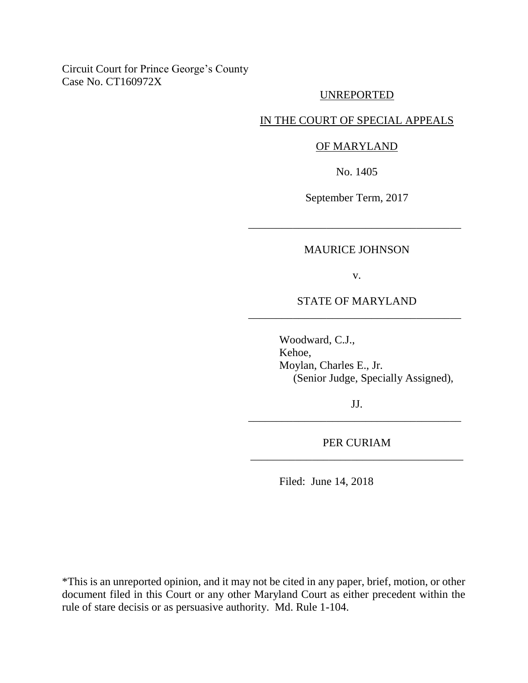# Circuit Court for Prince George's County Case No. CT160972X

# UNREPORTED

### IN THE COURT OF SPECIAL APPEALS

#### OF MARYLAND

No. 1405

September Term, 2017

#### MAURICE JOHNSON

\_\_\_\_\_\_\_\_\_\_\_\_\_\_\_\_\_\_\_\_\_\_\_\_\_\_\_\_\_\_\_\_\_\_\_\_\_\_

v.

# STATE OF MARYLAND \_\_\_\_\_\_\_\_\_\_\_\_\_\_\_\_\_\_\_\_\_\_\_\_\_\_\_\_\_\_\_\_\_\_\_\_\_\_

Woodward, C.J., Kehoe, Moylan, Charles E., Jr. (Senior Judge, Specially Assigned),

JJ. \_\_\_\_\_\_\_\_\_\_\_\_\_\_\_\_\_\_\_\_\_\_\_\_\_\_\_\_\_\_\_\_\_\_\_\_\_\_

PER CURIAM \_\_\_\_\_\_\_\_\_\_\_\_\_\_\_\_\_\_\_\_\_\_\_\_\_\_\_\_\_\_\_\_\_\_\_\_\_\_

Filed: June 14, 2018

\*This is an unreported opinion, and it may not be cited in any paper, brief, motion, or other document filed in this Court or any other Maryland Court as either precedent within the rule of stare decisis or as persuasive authority. Md. Rule 1-104.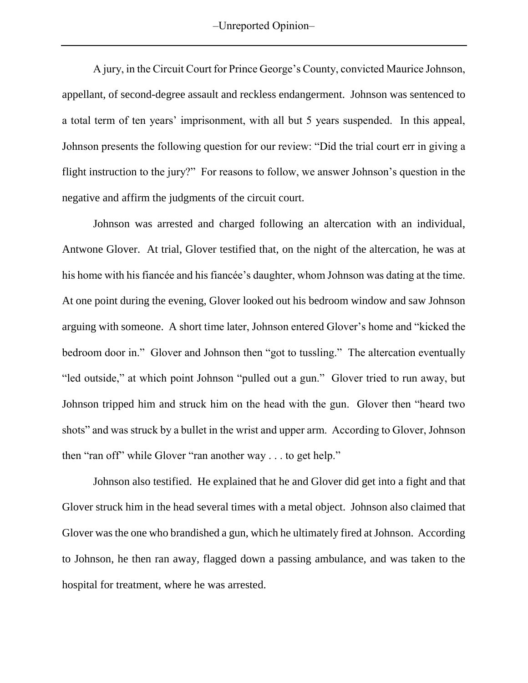A jury, in the Circuit Court for Prince George's County, convicted Maurice Johnson, appellant, of second-degree assault and reckless endangerment. Johnson was sentenced to a total term of ten years' imprisonment, with all but 5 years suspended. In this appeal, Johnson presents the following question for our review: "Did the trial court err in giving a flight instruction to the jury?" For reasons to follow, we answer Johnson's question in the negative and affirm the judgments of the circuit court.

Johnson was arrested and charged following an altercation with an individual, Antwone Glover. At trial, Glover testified that, on the night of the altercation, he was at his home with his fiancée and his fiancée's daughter, whom Johnson was dating at the time. At one point during the evening, Glover looked out his bedroom window and saw Johnson arguing with someone. A short time later, Johnson entered Glover's home and "kicked the bedroom door in." Glover and Johnson then "got to tussling." The altercation eventually "led outside," at which point Johnson "pulled out a gun." Glover tried to run away, but Johnson tripped him and struck him on the head with the gun. Glover then "heard two shots" and was struck by a bullet in the wrist and upper arm. According to Glover, Johnson then "ran off" while Glover "ran another way . . . to get help."

Johnson also testified. He explained that he and Glover did get into a fight and that Glover struck him in the head several times with a metal object. Johnson also claimed that Glover was the one who brandished a gun, which he ultimately fired at Johnson. According to Johnson, he then ran away, flagged down a passing ambulance, and was taken to the hospital for treatment, where he was arrested.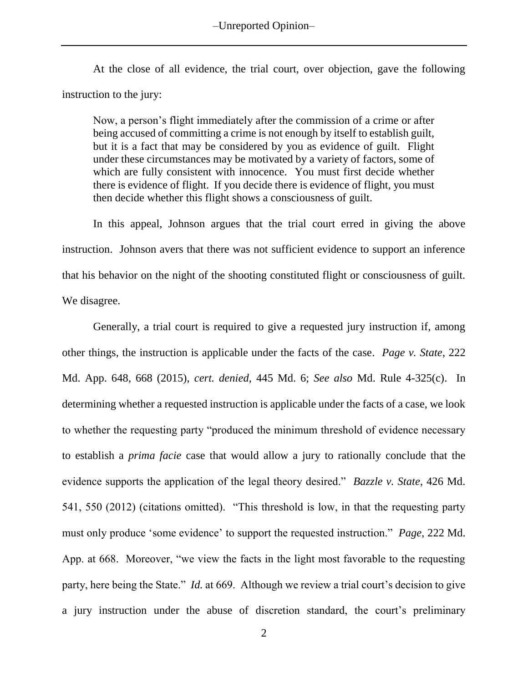–Unreported Opinion–

At the close of all evidence, the trial court, over objection, gave the following instruction to the jury:

Now, a person's flight immediately after the commission of a crime or after being accused of committing a crime is not enough by itself to establish guilt, but it is a fact that may be considered by you as evidence of guilt. Flight under these circumstances may be motivated by a variety of factors, some of which are fully consistent with innocence. You must first decide whether there is evidence of flight. If you decide there is evidence of flight, you must then decide whether this flight shows a consciousness of guilt.

In this appeal, Johnson argues that the trial court erred in giving the above instruction. Johnson avers that there was not sufficient evidence to support an inference that his behavior on the night of the shooting constituted flight or consciousness of guilt. We disagree.

Generally, a trial court is required to give a requested jury instruction if, among other things, the instruction is applicable under the facts of the case. *Page v. State*, 222 Md. App. 648, 668 (2015), *cert. denied,* 445 Md. 6; *See also* Md. Rule 4-325(c). In determining whether a requested instruction is applicable under the facts of a case, we look to whether the requesting party "produced the minimum threshold of evidence necessary to establish a *prima facie* case that would allow a jury to rationally conclude that the evidence supports the application of the legal theory desired." *Bazzle v. State*, 426 Md. 541, 550 (2012) (citations omitted). "This threshold is low, in that the requesting party must only produce 'some evidence' to support the requested instruction." *Page*, 222 Md. App. at 668. Moreover, "we view the facts in the light most favorable to the requesting party, here being the State." *Id.* at 669. Although we review a trial court's decision to give a jury instruction under the abuse of discretion standard, the court's preliminary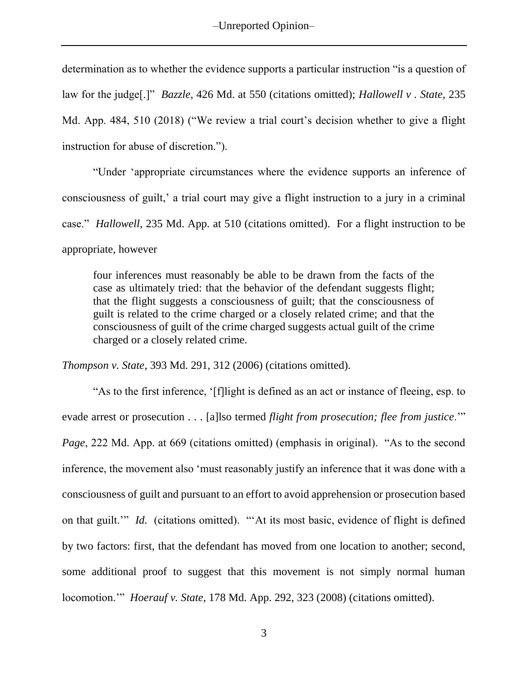determination as to whether the evidence supports a particular instruction "is a question of law for the judge[.]" *Bazzle*, 426 Md. at 550 (citations omitted); *Hallowell v . State*, 235 Md. App. 484, 510 (2018) ("We review a trial court's decision whether to give a flight instruction for abuse of discretion.").

"Under 'appropriate circumstances where the evidence supports an inference of consciousness of guilt,' a trial court may give a flight instruction to a jury in a criminal case." *Hallowell*, 235 Md. App. at 510 (citations omitted). For a flight instruction to be appropriate, however

four inferences must reasonably be able to be drawn from the facts of the case as ultimately tried: that the behavior of the defendant suggests flight; that the flight suggests a consciousness of guilt; that the consciousness of guilt is related to the crime charged or a closely related crime; and that the consciousness of guilt of the crime charged suggests actual guilt of the crime charged or a closely related crime.

*Thompson v. State*, 393 Md. 291, 312 (2006) (citations omitted).

"As to the first inference, '[f]light is defined as an act or instance of fleeing, esp. to evade arrest or prosecution . . . [a]lso termed *flight from prosecution; flee from justice*.'" *Page*, 222 Md. App. at 669 (citations omitted) (emphasis in original). "As to the second inference, the movement also 'must reasonably justify an inference that it was done with a consciousness of guilt and pursuant to an effort to avoid apprehension or prosecution based on that guilt.'" *Id.* (citations omitted). "'At its most basic, evidence of flight is defined by two factors: first, that the defendant has moved from one location to another; second, some additional proof to suggest that this movement is not simply normal human locomotion.'" *Hoerauf v. State*, 178 Md. App. 292, 323 (2008) (citations omitted).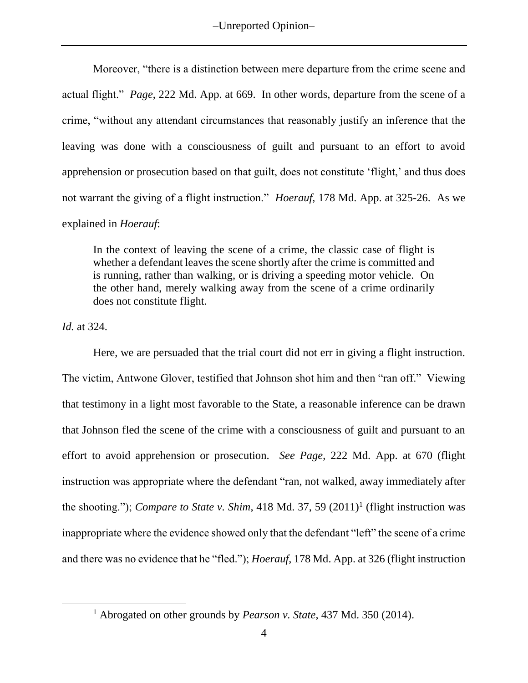–Unreported Opinion–

Moreover, "there is a distinction between mere departure from the crime scene and actual flight." *Page*, 222 Md. App. at 669. In other words, departure from the scene of a crime, "without any attendant circumstances that reasonably justify an inference that the leaving was done with a consciousness of guilt and pursuant to an effort to avoid apprehension or prosecution based on that guilt, does not constitute 'flight,' and thus does not warrant the giving of a flight instruction." *Hoerauf*, 178 Md. App. at 325-26. As we explained in *Hoerauf*:

In the context of leaving the scene of a crime, the classic case of flight is whether a defendant leaves the scene shortly after the crime is committed and is running, rather than walking, or is driving a speeding motor vehicle. On the other hand, merely walking away from the scene of a crime ordinarily does not constitute flight.

*Id.* at 324.

 $\overline{a}$ 

Here, we are persuaded that the trial court did not err in giving a flight instruction. The victim, Antwone Glover, testified that Johnson shot him and then "ran off." Viewing that testimony in a light most favorable to the State, a reasonable inference can be drawn that Johnson fled the scene of the crime with a consciousness of guilt and pursuant to an effort to avoid apprehension or prosecution. *See Page*, 222 Md. App. at 670 (flight instruction was appropriate where the defendant "ran, not walked, away immediately after the shooting."); *Compare to State v. Shim*, 418 Md. 37, 59  $(2011)^1$  (flight instruction was inappropriate where the evidence showed only that the defendant "left" the scene of a crime and there was no evidence that he "fled."); *Hoerauf*, 178 Md. App. at 326 (flight instruction

<sup>1</sup> Abrogated on other grounds by *Pearson v. State*, 437 Md. 350 (2014).